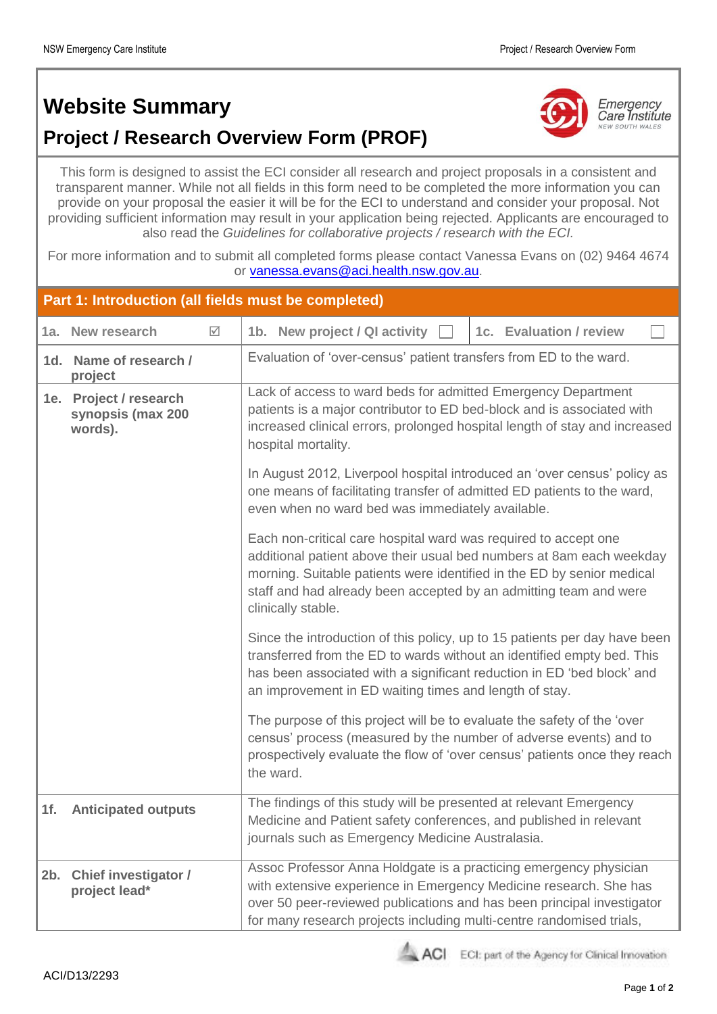## **Website Summary**





Emergency<br>Care Institute **NEW SOUTH WALES** 

This form is designed to assist the ECI consider all research and project proposals in a consistent and transparent manner. While not all fields in this form need to be completed the more information you can provide on your proposal the easier it will be for the ECI to understand and consider your proposal. Not providing sufficient information may result in your application being rejected. Applicants are encouraged to also read the *Guidelines for collaborative projects / research with the ECI.* 

For more information and to submit all completed forms please contact Vanessa Evans on (02) 9464 4674 or [vanessa.evans@aci.health.nsw.gov.au.](mailto:vanessa.evans@aci.health.nsw.gov.au)

| Part 1: Introduction (all fields must be completed) |                                                        |   |                                                                                                                                                                                                                                                                                                                                                                                                                                                                                                                                                                                                                                                                                                                                                                         |  |  |  |
|-----------------------------------------------------|--------------------------------------------------------|---|-------------------------------------------------------------------------------------------------------------------------------------------------------------------------------------------------------------------------------------------------------------------------------------------------------------------------------------------------------------------------------------------------------------------------------------------------------------------------------------------------------------------------------------------------------------------------------------------------------------------------------------------------------------------------------------------------------------------------------------------------------------------------|--|--|--|
| 1a.                                                 | New research                                           | ☑ | 1b. New project / QI activity<br>1c. Evaluation / review                                                                                                                                                                                                                                                                                                                                                                                                                                                                                                                                                                                                                                                                                                                |  |  |  |
|                                                     | 1d. Name of research /<br>project                      |   | Evaluation of 'over-census' patient transfers from ED to the ward.                                                                                                                                                                                                                                                                                                                                                                                                                                                                                                                                                                                                                                                                                                      |  |  |  |
|                                                     | 1e. Project / research<br>synopsis (max 200<br>words). |   | Lack of access to ward beds for admitted Emergency Department<br>patients is a major contributor to ED bed-block and is associated with<br>increased clinical errors, prolonged hospital length of stay and increased<br>hospital mortality.<br>In August 2012, Liverpool hospital introduced an 'over census' policy as<br>one means of facilitating transfer of admitted ED patients to the ward,<br>even when no ward bed was immediately available.<br>Each non-critical care hospital ward was required to accept one<br>additional patient above their usual bed numbers at 8am each weekday<br>morning. Suitable patients were identified in the ED by senior medical<br>staff and had already been accepted by an admitting team and were<br>clinically stable. |  |  |  |
|                                                     |                                                        |   |                                                                                                                                                                                                                                                                                                                                                                                                                                                                                                                                                                                                                                                                                                                                                                         |  |  |  |
|                                                     |                                                        |   | Since the introduction of this policy, up to 15 patients per day have been<br>transferred from the ED to wards without an identified empty bed. This<br>has been associated with a significant reduction in ED 'bed block' and<br>an improvement in ED waiting times and length of stay.                                                                                                                                                                                                                                                                                                                                                                                                                                                                                |  |  |  |
|                                                     |                                                        |   | The purpose of this project will be to evaluate the safety of the 'over<br>census' process (measured by the number of adverse events) and to<br>prospectively evaluate the flow of 'over census' patients once they reach<br>the ward.                                                                                                                                                                                                                                                                                                                                                                                                                                                                                                                                  |  |  |  |
| 1f <sub>r</sub>                                     | <b>Anticipated outputs</b>                             |   | The findings of this study will be presented at relevant Emergency<br>Medicine and Patient safety conferences, and published in relevant<br>journals such as Emergency Medicine Australasia.                                                                                                                                                                                                                                                                                                                                                                                                                                                                                                                                                                            |  |  |  |
| 2b.                                                 | <b>Chief investigator /</b><br>project lead*           |   | Assoc Professor Anna Holdgate is a practicing emergency physician<br>with extensive experience in Emergency Medicine research. She has<br>over 50 peer-reviewed publications and has been principal investigator<br>for many research projects including multi-centre randomised trials,                                                                                                                                                                                                                                                                                                                                                                                                                                                                                |  |  |  |



ACI ECI: part of the Agency for Clinical Innovation